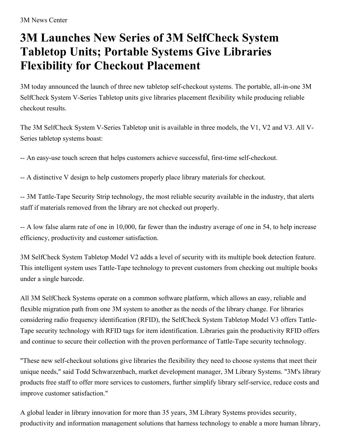## **3M Launches New Series of 3M SelfCheck System Tabletop Units; Portable Systems Give Libraries Flexibility for Checkout Placement**

3M today announced the launch of three new tabletop self-checkout systems. The portable, all-in-one 3M SelfCheck System V-Series Tabletop units give libraries placement flexibility while producing reliable checkout results.

The 3M SelfCheck System V-Series Tabletop unit is available in three models, the V1, V2 and V3. All V-Series tabletop systems boast:

-- An easy-use touch screen that helps customers achieve successful, first-time self-checkout.

-- A distinctive V design to help customers properly place library materials for checkout.

-- 3M Tattle-Tape Security Strip technology, the most reliable security available in the industry, that alerts staff if materials removed from the library are not checked out properly.

-- A low false alarm rate of one in 10,000, far fewer than the industry average of one in 54, to help increase efficiency, productivity and customer satisfaction.

3M SelfCheck System Tabletop Model V2 adds a level of security with its multiple book detection feature. This intelligent system uses Tattle-Tape technology to prevent customers from checking out multiple books under a single barcode.

All 3M SelfCheck Systems operate on a common software platform, which allows an easy, reliable and flexible migration path from one 3M system to another as the needs of the library change. For libraries considering radio frequency identification (RFID), the SelfCheck System Tabletop Model V3 offers Tattle-Tape security technology with RFID tags for item identification. Libraries gain the productivity RFID offers and continue to secure their collection with the proven performance of Tattle-Tape security technology.

"These new self-checkout solutions give libraries the flexibility they need to choose systems that meet their unique needs," said Todd Schwarzenbach, market development manager, 3M Library Systems. "3M's library products free staff to offer more services to customers, further simplify library self-service, reduce costs and improve customer satisfaction."

A global leader in library innovation for more than 35 years, 3M Library Systems provides security, productivity and information management solutions that harness technology to enable a more human library,